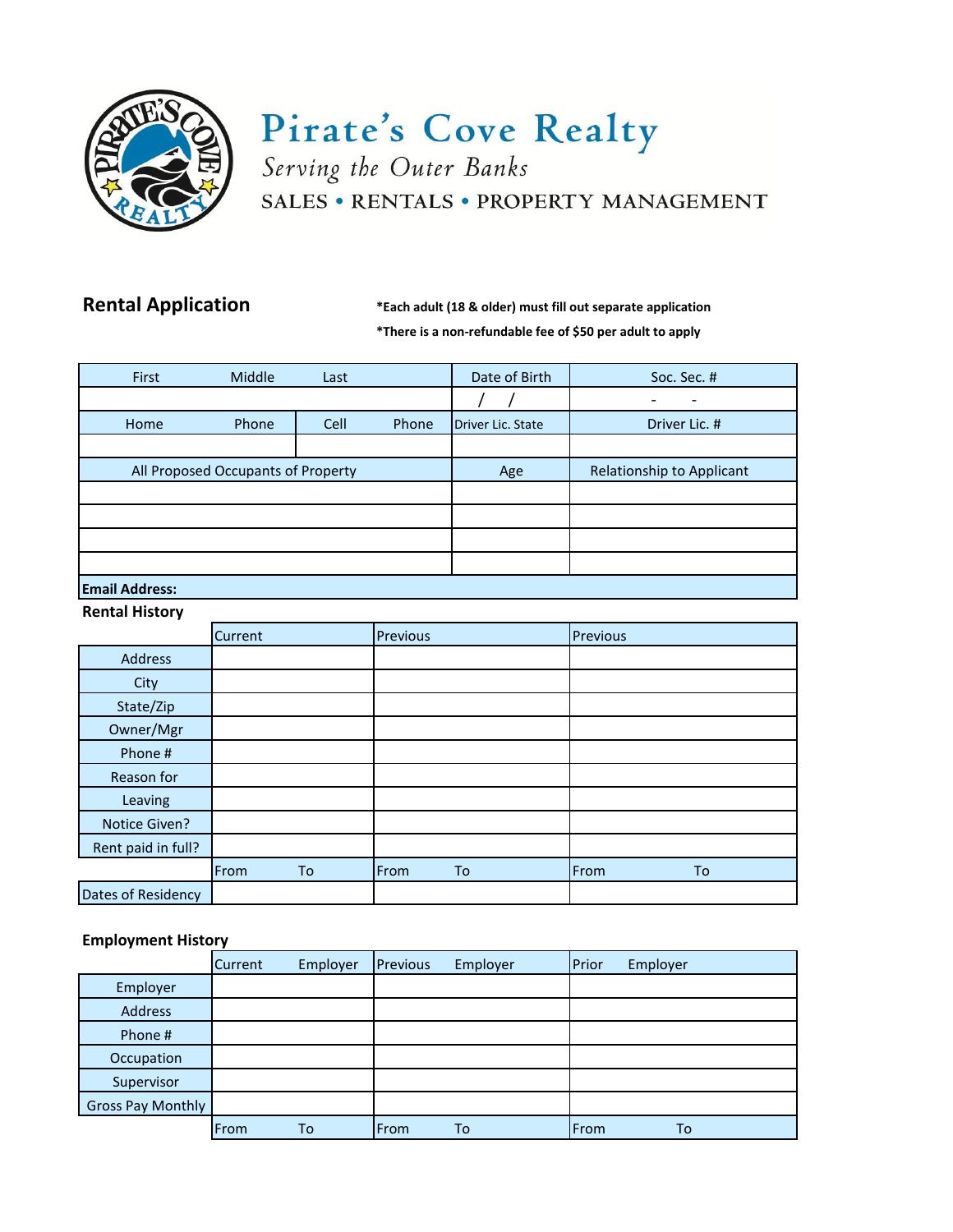

# Pirate's Cove Realty Serving the Outer Banks SALES • RENTALS • PROPERTY MANAGEMENT

**Rental Application \*Each adult (18 & older) must fill out separate application \*There is a non-refundable fee of \$50 per adult to apply**

| First                              | Middle | Last |       | Date of Birth     | Soc. Sec. #               |  |
|------------------------------------|--------|------|-------|-------------------|---------------------------|--|
|                                    |        |      |       |                   |                           |  |
| Home                               | Phone  | Cell | Phone | Driver Lic. State | Driver Lic. #             |  |
|                                    |        |      |       |                   |                           |  |
| All Proposed Occupants of Property |        |      |       | Age               | Relationship to Applicant |  |
|                                    |        |      |       |                   |                           |  |
|                                    |        |      |       |                   |                           |  |
|                                    |        |      |       |                   |                           |  |
|                                    |        |      |       |                   |                           |  |
| Ferall Address:                    |        |      |       |                   |                           |  |

#### **Email Address: Rental History**

| <b>INCITION INTO THE</b> |         |    |          |    |          |    |
|--------------------------|---------|----|----------|----|----------|----|
|                          | Current |    | Previous |    | Previous |    |
| Address                  |         |    |          |    |          |    |
| City                     |         |    |          |    |          |    |
| State/Zip                |         |    |          |    |          |    |
| Owner/Mgr                |         |    |          |    |          |    |
| Phone #                  |         |    |          |    |          |    |
| Reason for               |         |    |          |    |          |    |
| Leaving                  |         |    |          |    |          |    |
| Notice Given?            |         |    |          |    |          |    |
| Rent paid in full?       |         |    |          |    |          |    |
|                          | From    | To | From     | To | From     | To |
| Dates of Residency       |         |    |          |    |          |    |

## **Employment History**

|                          | <b>Current</b> | Employer | Previous | Employer | Prior | Employer |
|--------------------------|----------------|----------|----------|----------|-------|----------|
| Employer                 |                |          |          |          |       |          |
| Address                  |                |          |          |          |       |          |
| Phone #                  |                |          |          |          |       |          |
| Occupation               |                |          |          |          |       |          |
| Supervisor               |                |          |          |          |       |          |
| <b>Gross Pay Monthly</b> |                |          |          |          |       |          |
|                          | From           | To       | From     | To       | From  | To       |